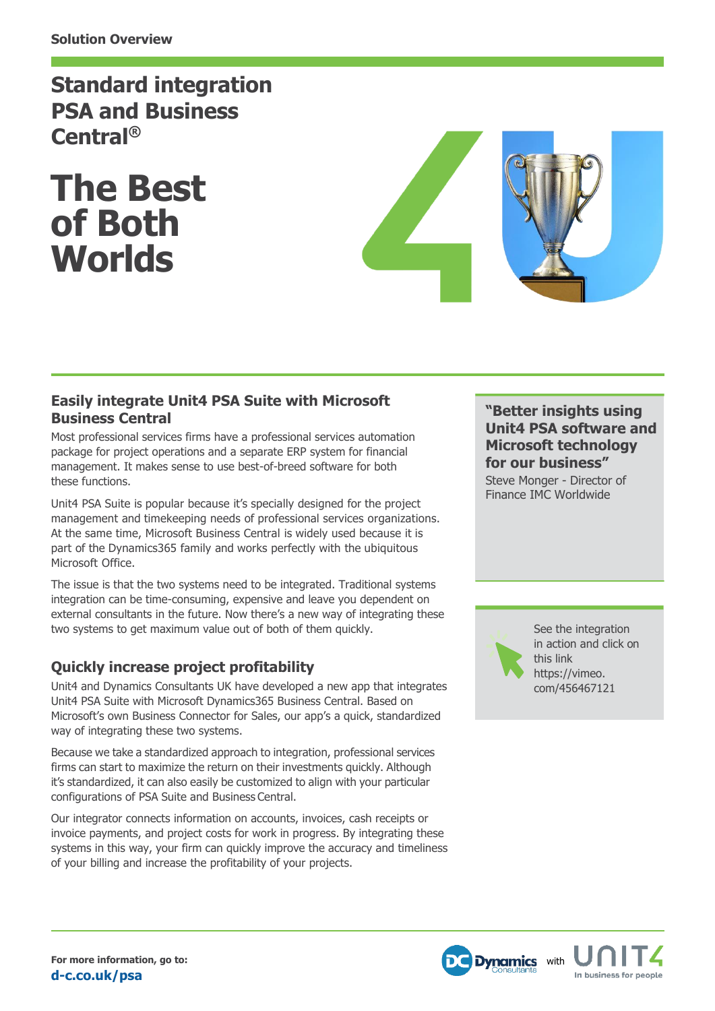# **Standard integration PSA and Business Central®**

**The Best of Both Worlds**



### **Easily integrate Unit4 PSA Suite with Microsoft Business Central**

Most professional services firms have a professional services automation package for project operations and a separate ERP system for financial management. It makes sense to use best-of-breed software for both these functions.

Unit4 PSA Suite is popular because it's specially designed for the project management and timekeeping needs of professional services organizations. At the same time, Microsoft Business Central is widely used because it is part of the Dynamics365 family and works perfectly with the ubiquitous Microsoft Office.

The issue is that the two systems need to be integrated. Traditional systems integration can be time-consuming, expensive and leave you dependent on external consultants in the future. Now there's a new way of integrating these two systems to get maximum value out of both of them quickly.

## **Quickly increase project profitability**

Unit4 and Dynamics Consultants UK have developed a new app that integrates Unit4 PSA Suite with Microsoft Dynamics365 Business Central. Based on Microsoft's own Business Connector for Sales, our app's a quick, standardized way of integrating these two systems.

Because we take a standardized approach to integration, professional services firms can start to maximize the return on their investments quickly. Although it's standardized, it can also easily be customized to align with your particular configurations of PSA Suite and Business Central.

Our integrator connects information on accounts, invoices, cash receipts or invoice payments, and project costs for work in progress. By integrating these systems in this way, your firm can quickly improve the accuracy and timeliness of your billing and increase the profitability of your projects.

#### **"Better insights using Unit4 PSA software and Microsoft technology for our business"**

Steve Monger - Director of Finance IMC Worldwide

[See the integration](https://vimeo.com/456467121)  [in action and click](https://vimeo.com/456467121) on [this link](https://vimeo.com/456467121)  [https://vimeo.](https://vimeo.com/456467121)  [com/456467121](https://vimeo.com/456467121)